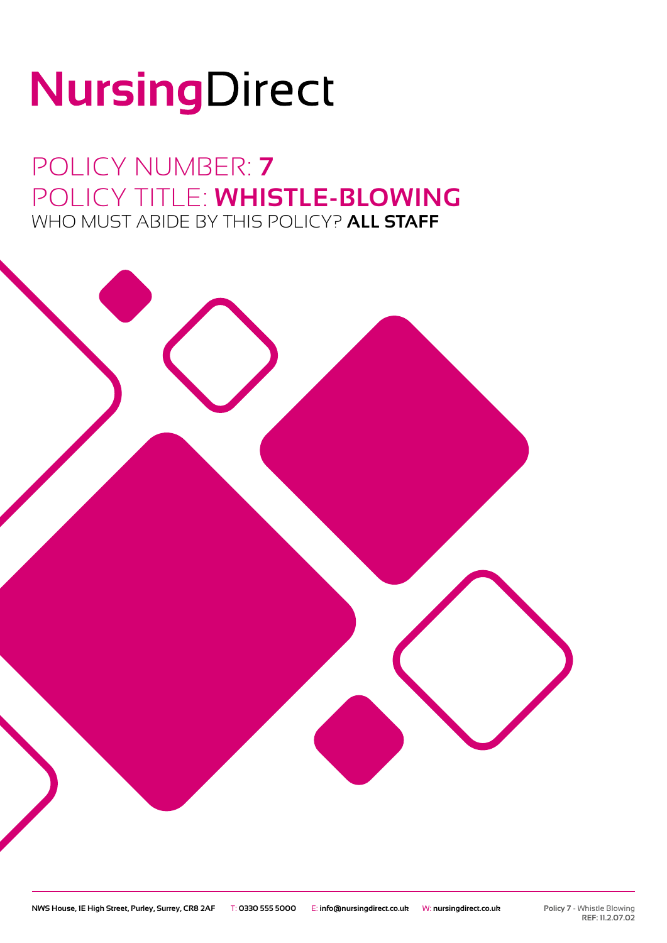# NursingDirect

POLICY NUMBER: **7** POLICY TITLE: **WHISTLE-BLOWING** WHO MUST ABIDE BY THIS POLICY? **ALL STAFF**